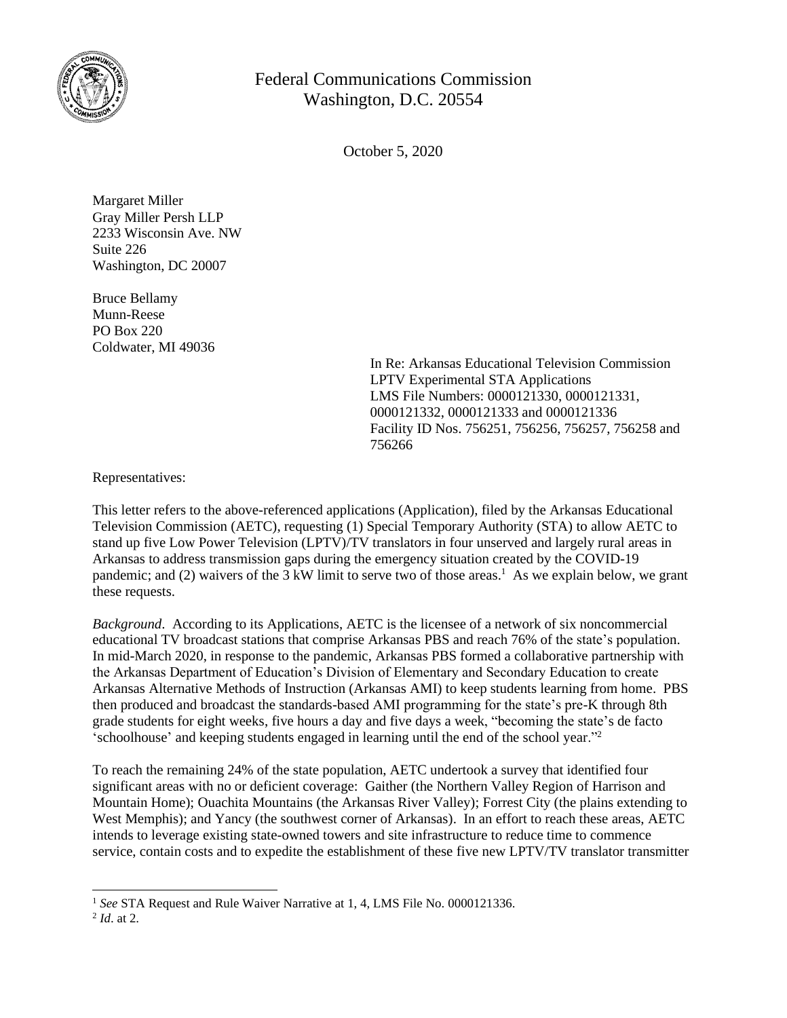

## Federal Communications Commission Washington, D.C. 20554

October 5, 2020

Margaret Miller Gray Miller Persh LLP 2233 Wisconsin Ave. NW Suite 226 Washington, DC 20007

Bruce Bellamy Munn-Reese PO Box 220 Coldwater, MI 49036

> In Re: Arkansas Educational Television Commission LPTV Experimental STA Applications LMS File Numbers: 0000121330, 0000121331, 0000121332, 0000121333 and 0000121336 Facility ID Nos. 756251, 756256, 756257, 756258 and 756266

Representatives:

This letter refers to the above-referenced applications (Application), filed by the Arkansas Educational Television Commission (AETC), requesting (1) Special Temporary Authority (STA) to allow AETC to stand up five Low Power Television (LPTV)/TV translators in four unserved and largely rural areas in Arkansas to address transmission gaps during the emergency situation created by the COVID-19 pandemic; and (2) waivers of the 3 kW limit to serve two of those areas.<sup>1</sup> As we explain below, we grant these requests.

*Background*. According to its Applications, AETC is the licensee of a network of six noncommercial educational TV broadcast stations that comprise Arkansas PBS and reach 76% of the state's population. In mid-March 2020, in response to the pandemic, Arkansas PBS formed a collaborative partnership with the Arkansas Department of Education's Division of Elementary and Secondary Education to create Arkansas Alternative Methods of Instruction (Arkansas AMI) to keep students learning from home. PBS then produced and broadcast the standards-based AMI programming for the state's pre-K through 8th grade students for eight weeks, five hours a day and five days a week, "becoming the state's de facto 'schoolhouse' and keeping students engaged in learning until the end of the school year."<sup>2</sup>

To reach the remaining 24% of the state population, AETC undertook a survey that identified four significant areas with no or deficient coverage: Gaither (the Northern Valley Region of Harrison and Mountain Home); Ouachita Mountains (the Arkansas River Valley); Forrest City (the plains extending to West Memphis); and Yancy (the southwest corner of Arkansas). In an effort to reach these areas, AETC intends to leverage existing state-owned towers and site infrastructure to reduce time to commence service, contain costs and to expedite the establishment of these five new LPTV/TV translator transmitter

<sup>&</sup>lt;sup>1</sup> See STA Request and Rule Waiver Narrative at 1, 4, LMS File No. 0000121336.

<sup>2</sup> *Id*. at 2.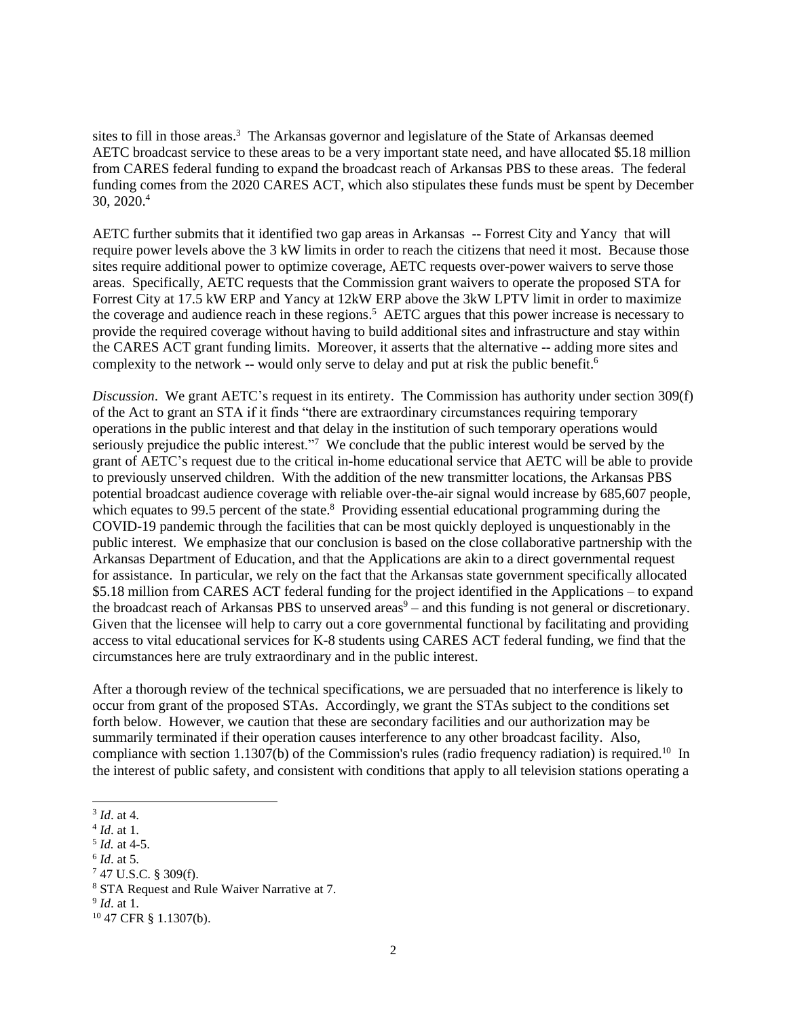sites to fill in those areas.<sup>3</sup> The Arkansas governor and legislature of the State of Arkansas deemed AETC broadcast service to these areas to be a very important state need, and have allocated \$5.18 million from CARES federal funding to expand the broadcast reach of Arkansas PBS to these areas. The federal funding comes from the 2020 CARES ACT, which also stipulates these funds must be spent by December 30, 2020.<sup>4</sup>

AETC further submits that it identified two gap areas in Arkansas -- Forrest City and Yancy that will require power levels above the 3 kW limits in order to reach the citizens that need it most. Because those sites require additional power to optimize coverage, AETC requests over-power waivers to serve those areas. Specifically, AETC requests that the Commission grant waivers to operate the proposed STA for Forrest City at 17.5 kW ERP and Yancy at 12kW ERP above the 3kW LPTV limit in order to maximize the coverage and audience reach in these regions.<sup>5</sup> AETC argues that this power increase is necessary to provide the required coverage without having to build additional sites and infrastructure and stay within the CARES ACT grant funding limits. Moreover, it asserts that the alternative -- adding more sites and complexity to the network  $-$  would only serve to delay and put at risk the public benefit.<sup>6</sup>

*Discussion*. We grant AETC's request in its entirety. The Commission has authority under section 309(f) of the Act to grant an STA if it finds "there are extraordinary circumstances requiring temporary operations in the public interest and that delay in the institution of such temporary operations would seriously prejudice the public interest."<sup>7</sup> We conclude that the public interest would be served by the grant of AETC's request due to the critical in-home educational service that AETC will be able to provide to previously unserved children. With the addition of the new transmitter locations, the Arkansas PBS potential broadcast audience coverage with reliable over-the-air signal would increase by 685,607 people, which equates to 99.5 percent of the state.<sup>8</sup> Providing essential educational programming during the COVID-19 pandemic through the facilities that can be most quickly deployed is unquestionably in the public interest. We emphasize that our conclusion is based on the close collaborative partnership with the Arkansas Department of Education, and that the Applications are akin to a direct governmental request for assistance. In particular, we rely on the fact that the Arkansas state government specifically allocated \$5.18 million from CARES ACT federal funding for the project identified in the Applications – to expand the broadcast reach of Arkansas PBS to unserved areas $9 -$  and this funding is not general or discretionary. Given that the licensee will help to carry out a core governmental functional by facilitating and providing access to vital educational services for K-8 students using CARES ACT federal funding, we find that the circumstances here are truly extraordinary and in the public interest.

After a thorough review of the technical specifications, we are persuaded that no interference is likely to occur from grant of the proposed STAs. Accordingly, we grant the STAs subject to the conditions set forth below. However, we caution that these are secondary facilities and our authorization may be summarily terminated if their operation causes interference to any other broadcast facility. Also, compliance with section 1.1307(b) of the Commission's rules (radio frequency radiation) is required.<sup>10</sup> In the interest of public safety, and consistent with conditions that apply to all television stations operating a

5 *Id.* at 4-5.

<sup>7</sup> 47 U.S.C. § 309(f).

9 *Id*. at 1.

<sup>3</sup> *Id*. at 4.

<sup>4</sup> *Id*. at 1.

<sup>6</sup> *Id*. at 5.

<sup>8</sup> STA Request and Rule Waiver Narrative at 7.

<sup>10</sup> 47 CFR § 1.1307(b).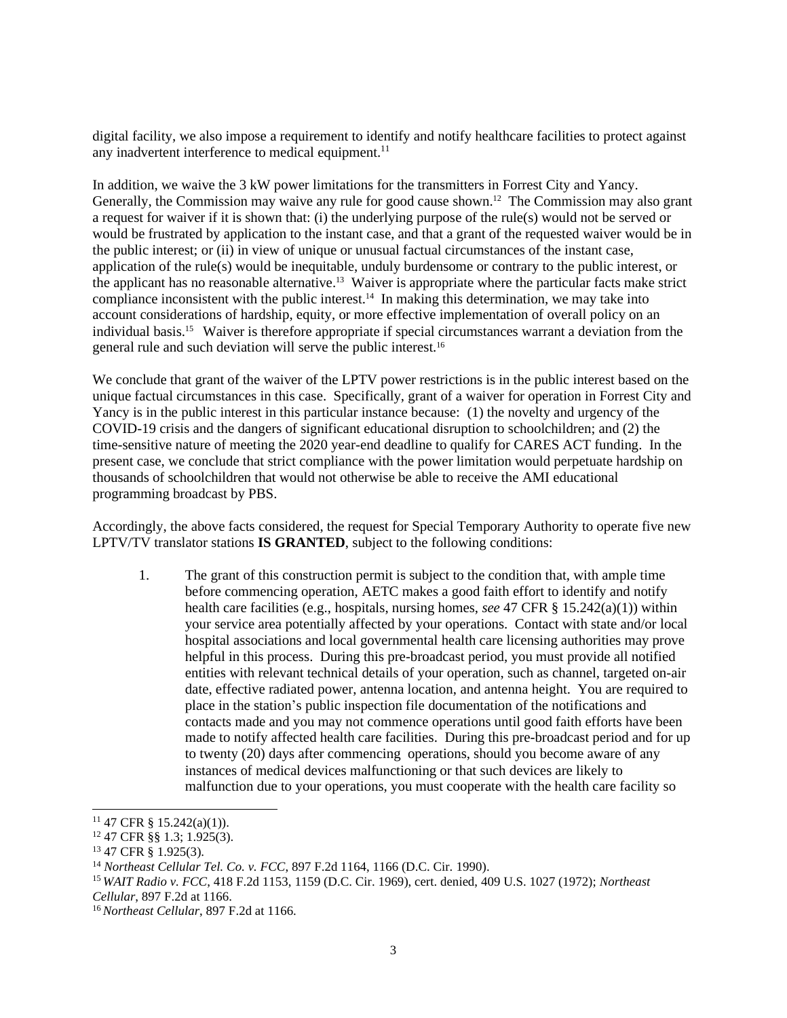digital facility, we also impose a requirement to identify and notify healthcare facilities to protect against any inadvertent interference to medical equipment.<sup>11</sup>

In addition, we waive the 3 kW power limitations for the transmitters in Forrest City and Yancy. Generally, the Commission may waive any rule for good cause shown.<sup>12</sup> The Commission may also grant a request for waiver if it is shown that: (i) the underlying purpose of the rule(s) would not be served or would be frustrated by application to the instant case, and that a grant of the requested waiver would be in the public interest; or (ii) in view of unique or unusual factual circumstances of the instant case, application of the rule(s) would be inequitable, unduly burdensome or contrary to the public interest, or the applicant has no reasonable alternative.<sup>13</sup> Waiver is appropriate where the particular facts make strict compliance inconsistent with the public interest. 14 In making this determination, we may take into account considerations of hardship, equity, or more effective implementation of overall policy on an individual basis.<sup>15</sup> Waiver is therefore appropriate if special circumstances warrant a deviation from the general rule and such deviation will serve the public interest.<sup>16</sup>

We conclude that grant of the waiver of the LPTV power restrictions is in the public interest based on the unique factual circumstances in this case. Specifically, grant of a waiver for operation in Forrest City and Yancy is in the public interest in this particular instance because: (1) the novelty and urgency of the COVID-19 crisis and the dangers of significant educational disruption to schoolchildren; and (2) the time-sensitive nature of meeting the 2020 year-end deadline to qualify for CARES ACT funding. In the present case, we conclude that strict compliance with the power limitation would perpetuate hardship on thousands of schoolchildren that would not otherwise be able to receive the AMI educational programming broadcast by PBS.

Accordingly, the above facts considered, the request for Special Temporary Authority to operate five new LPTV/TV translator stations **IS GRANTED**, subject to the following conditions:

1. The grant of this construction permit is subject to the condition that, with ample time before commencing operation, AETC makes a good faith effort to identify and notify health care facilities (e.g., hospitals, nursing homes, *see* 47 CFR § 15.242(a)(1)) within your service area potentially affected by your operations. Contact with state and/or local hospital associations and local governmental health care licensing authorities may prove helpful in this process. During this pre-broadcast period, you must provide all notified entities with relevant technical details of your operation, such as channel, targeted on-air date, effective radiated power, antenna location, and antenna height. You are required to place in the station's public inspection file documentation of the notifications and contacts made and you may not commence operations until good faith efforts have been made to notify affected health care facilities. During this pre-broadcast period and for up to twenty (20) days after commencing operations, should you become aware of any instances of medical devices malfunctioning or that such devices are likely to malfunction due to your operations, you must cooperate with the health care facility so

<sup>11</sup> 47 CFR § 15.242(a)(1)).

<sup>12</sup> 47 CFR §§ 1.3; 1.925(3).

<sup>13</sup> 47 CFR § 1.925(3).

<sup>14</sup> *Northeast Cellular Tel. Co. v. FCC*, 897 F.2d 1164, 1166 (D.C. Cir. 1990).

<sup>15</sup> *WAIT Radio v. FCC*, 418 F.2d 1153, 1159 (D.C. Cir. 1969), cert. denied, 409 U.S. 1027 (1972); *Northeast Cellular*, 897 F.2d at 1166.

<sup>16</sup> *Northeast Cellular*, 897 F.2d at 1166.